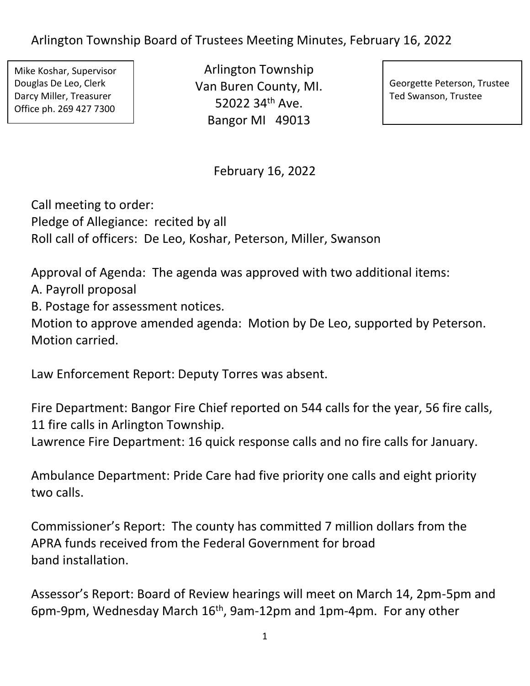Mike Koshar, Supervisor Douglas De Leo, Clerk Darcy Miller, Treasurer Office ph. 269 427 7300

Arlington Township Van Buren County, MI. 52022 34th Ave. Bangor MI 49013

Georgette Peterson, Trustee Ted Swanson, Trustee

February 16, 2022

Call meeting to order: Pledge of Allegiance: recited by all Roll call of officers: De Leo, Koshar, Peterson, Miller, Swanson

Approval of Agenda: The agenda was approved with two additional items:

A. Payroll proposal

B. Postage for assessment notices.

Motion to approve amended agenda: Motion by De Leo, supported by Peterson. Motion carried.

Law Enforcement Report: Deputy Torres was absent.

Fire Department: Bangor Fire Chief reported on 544 calls for the year, 56 fire calls, 11 fire calls in Arlington Township.

Lawrence Fire Department: 16 quick response calls and no fire calls for January.

Ambulance Department: Pride Care had five priority one calls and eight priority two calls.

Commissioner's Report: The county has committed 7 million dollars from the APRA funds received from the Federal Government for broad band installation.

Assessor's Report: Board of Review hearings will meet on March 14, 2pm-5pm and 6pm-9pm, Wednesday March  $16<sup>th</sup>$ , 9am-12pm and 1pm-4pm. For any other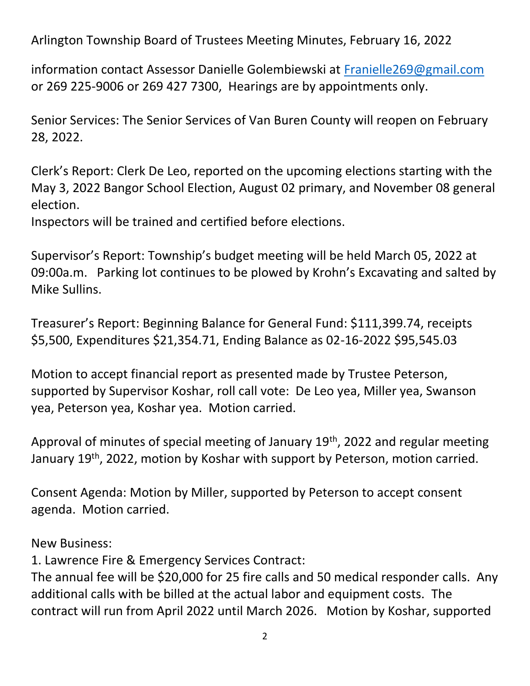information contact Assessor Danielle Golembiewski at [Franielle269@gmail.com](mailto:Franielle269@gmail.com) or 269 225-9006 or 269 427 7300, Hearings are by appointments only.

Senior Services: The Senior Services of Van Buren County will reopen on February 28, 2022.

Clerk's Report: Clerk De Leo, reported on the upcoming elections starting with the May 3, 2022 Bangor School Election, August 02 primary, and November 08 general election.

Inspectors will be trained and certified before elections.

Supervisor's Report: Township's budget meeting will be held March 05, 2022 at 09:00a.m. Parking lot continues to be plowed by Krohn's Excavating and salted by Mike Sullins.

Treasurer's Report: Beginning Balance for General Fund: \$111,399.74, receipts \$5,500, Expenditures \$21,354.71, Ending Balance as 02-16-2022 \$95,545.03

Motion to accept financial report as presented made by Trustee Peterson, supported by Supervisor Koshar, roll call vote: De Leo yea, Miller yea, Swanson yea, Peterson yea, Koshar yea. Motion carried.

Approval of minutes of special meeting of January 19<sup>th</sup>, 2022 and regular meeting January 19th, 2022, motion by Koshar with support by Peterson, motion carried.

Consent Agenda: Motion by Miller, supported by Peterson to accept consent agenda. Motion carried.

New Business:

1. Lawrence Fire & Emergency Services Contract:

The annual fee will be \$20,000 for 25 fire calls and 50 medical responder calls. Any additional calls with be billed at the actual labor and equipment costs. The contract will run from April 2022 until March 2026. Motion by Koshar, supported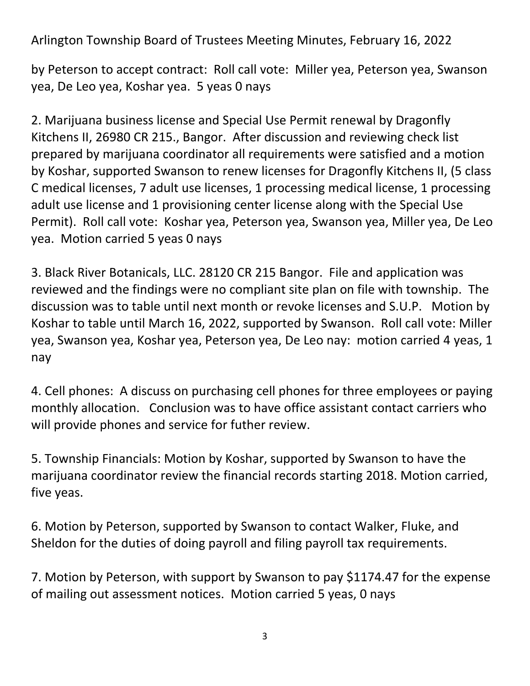by Peterson to accept contract: Roll call vote: Miller yea, Peterson yea, Swanson yea, De Leo yea, Koshar yea. 5 yeas 0 nays

2. Marijuana business license and Special Use Permit renewal by Dragonfly Kitchens II, 26980 CR 215., Bangor. After discussion and reviewing check list prepared by marijuana coordinator all requirements were satisfied and a motion by Koshar, supported Swanson to renew licenses for Dragonfly Kitchens II, (5 class C medical licenses, 7 adult use licenses, 1 processing medical license, 1 processing adult use license and 1 provisioning center license along with the Special Use Permit). Roll call vote: Koshar yea, Peterson yea, Swanson yea, Miller yea, De Leo yea. Motion carried 5 yeas 0 nays

3. Black River Botanicals, LLC. 28120 CR 215 Bangor. File and application was reviewed and the findings were no compliant site plan on file with township. The discussion was to table until next month or revoke licenses and S.U.P. Motion by Koshar to table until March 16, 2022, supported by Swanson. Roll call vote: Miller yea, Swanson yea, Koshar yea, Peterson yea, De Leo nay: motion carried 4 yeas, 1 nay

4. Cell phones: A discuss on purchasing cell phones for three employees or paying monthly allocation. Conclusion was to have office assistant contact carriers who will provide phones and service for futher review.

5. Township Financials: Motion by Koshar, supported by Swanson to have the marijuana coordinator review the financial records starting 2018. Motion carried, five yeas.

6. Motion by Peterson, supported by Swanson to contact Walker, Fluke, and Sheldon for the duties of doing payroll and filing payroll tax requirements.

7. Motion by Peterson, with support by Swanson to pay \$1174.47 for the expense of mailing out assessment notices. Motion carried 5 yeas, 0 nays